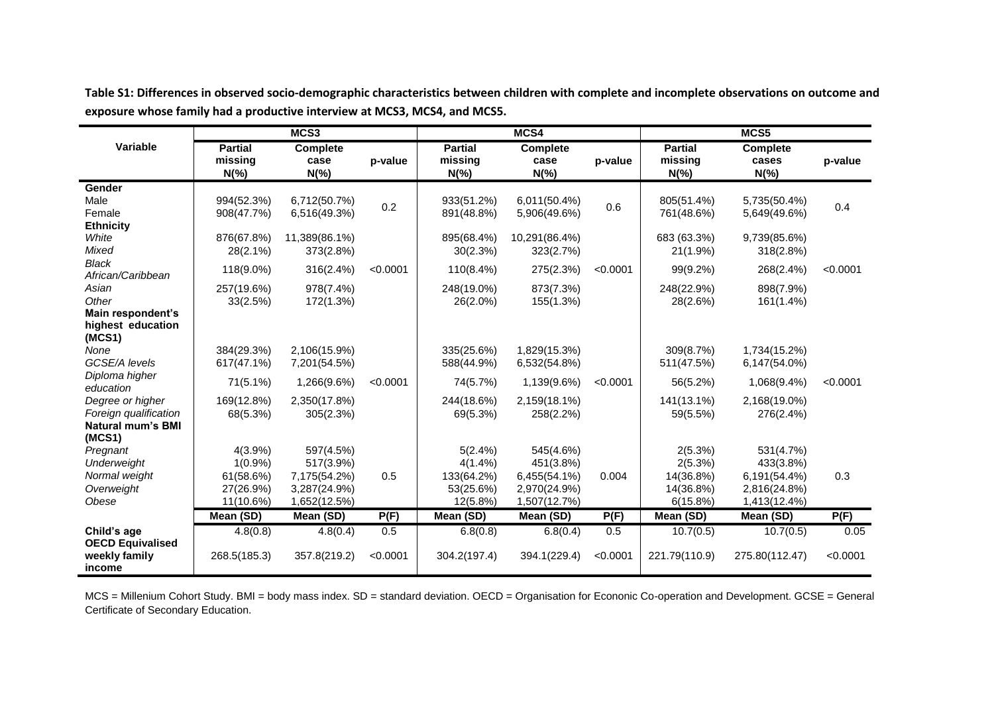|                          | MCS3                                 |                                     |          | MCS4                                  |                              |          | MCS5                                 |                                     |          |
|--------------------------|--------------------------------------|-------------------------------------|----------|---------------------------------------|------------------------------|----------|--------------------------------------|-------------------------------------|----------|
| Variable                 | <b>Partial</b><br>missing<br>$N(\%)$ | <b>Complete</b><br>case<br>$N(\% )$ | p-value  | <b>Partial</b><br>missing<br>$N(\% )$ | Complete<br>case<br>$N(\%)$  | p-value  | <b>Partial</b><br>missing<br>$N(\%)$ | <b>Complete</b><br>cases<br>$N(\%)$ | p-value  |
| Gender                   |                                      |                                     |          |                                       |                              |          |                                      |                                     |          |
| Male                     | 994(52.3%)                           | 6,712(50.7%)                        | 0.2      | 933(51.2%)                            | 6,011(50.4%)                 | 0.6      | 805(51.4%)                           | 5,735(50.4%)                        | 0.4      |
| Female                   | 908(47.7%)                           | 6,516(49.3%)                        |          | 891(48.8%)                            | 5,906(49.6%)                 |          | 761(48.6%)                           | 5,649(49.6%)                        |          |
| <b>Ethnicity</b>         |                                      |                                     |          |                                       |                              |          |                                      |                                     |          |
| White                    | 876(67.8%)                           | 11,389(86.1%)                       |          | 895(68.4%)                            | 10,291(86.4%)                |          | 683 (63.3%)                          | 9,739(85.6%)                        |          |
| Mixed                    | 28(2.1%)                             | 373(2.8%)                           |          | 30(2.3%)                              | 323(2.7%)                    |          | 21(1.9%)                             | 318(2.8%)                           |          |
| <b>Black</b>             | 118(9.0%)                            | 316(2.4%)                           | < 0.0001 | 110(8.4%)                             | 275(2.3%)                    | < 0.0001 | 99(9.2%)                             | 268(2.4%)                           | < 0.0001 |
| African/Caribbean        |                                      |                                     |          |                                       |                              |          |                                      |                                     |          |
| Asian                    | 257(19.6%)                           | 978(7.4%)                           |          | 248(19.0%)                            | 873(7.3%)                    |          | 248(22.9%)                           | 898(7.9%)                           |          |
| Other                    | 33(2.5%)                             | 172(1.3%)                           |          | 26(2.0%)                              | 155(1.3%)                    |          | 28(2.6%)                             | 161(1.4%)                           |          |
| Main respondent's        |                                      |                                     |          |                                       |                              |          |                                      |                                     |          |
| highest education        |                                      |                                     |          |                                       |                              |          |                                      |                                     |          |
| (MCS1)<br>None           |                                      |                                     |          |                                       |                              |          |                                      |                                     |          |
| GCSE/A levels            | 384(29.3%)<br>617(47.1%)             | 2,106(15.9%)                        |          | 335(25.6%)                            | 1,829(15.3%)<br>6,532(54.8%) |          | 309(8.7%)                            | 1,734(15.2%)                        |          |
| Diploma higher           |                                      | 7,201(54.5%)                        |          | 588(44.9%)                            |                              |          | 511(47.5%)                           | 6,147(54.0%)                        |          |
| education                | $71(5.1\%)$                          | 1,266(9.6%)                         | < 0.0001 | 74(5.7%)                              | 1,139(9.6%)                  | < 0.0001 | 56(5.2%)                             | 1,068(9.4%)                         | < 0.0001 |
| Degree or higher         | 169(12.8%)                           | 2,350(17.8%)                        |          | 244(18.6%)                            | 2,159(18.1%)                 |          | 141(13.1%)                           | 2,168(19.0%)                        |          |
| Foreign qualification    | 68(5.3%)                             | 305(2.3%)                           |          | 69(5.3%)                              | 258(2.2%)                    |          | 59(5.5%)                             | 276(2.4%)                           |          |
| <b>Natural mum's BMI</b> |                                      |                                     |          |                                       |                              |          |                                      |                                     |          |
| (MCS1)                   |                                      |                                     |          |                                       |                              |          |                                      |                                     |          |
| Pregnant                 | $4(3.9\%)$                           | 597(4.5%)                           |          | 5(2.4%)                               | 545(4.6%)                    |          | 2(5.3%)                              | 531(4.7%)                           |          |
| <b>Underweight</b>       | $1(0.9\%)$                           | 517(3.9%)                           |          | $4(1.4\%)$                            | 451(3.8%)                    |          | 2(5.3%)                              | 433(3.8%)                           |          |
| Normal weight            | 61(58.6%)                            | 7,175(54.2%)                        | 0.5      | 133(64.2%)                            | 6,455(54.1%)                 | 0.004    | 14(36.8%)                            | 6,191(54.4%)                        | 0.3      |
| Overweight               | 27(26.9%)                            | 3,287(24.9%)                        |          | 53(25.6%)                             | 2,970(24.9%)                 |          | 14(36.8%)                            | 2,816(24.8%)                        |          |
| Obese                    | 11(10.6%)                            | 1,652(12.5%)                        |          | 12(5.8%)                              | 1,507(12.7%)                 |          | 6(15.8%)                             | 1,413(12.4%)                        |          |
|                          | Mean (SD)                            | Mean (SD)                           | P(F)     | Mean (SD)                             | Mean (SD)                    | P(F)     | Mean (SD)                            | Mean (SD)                           | P(F)     |
| Child's age              | 4.8(0.8)                             | 4.8(0.4)                            | 0.5      | 6.8(0.8)                              | 6.8(0.4)                     | 0.5      | 10.7(0.5)                            | 10.7(0.5)                           | 0.05     |
| <b>OECD Equivalised</b>  |                                      |                                     |          |                                       |                              |          |                                      |                                     |          |
| weekly family            | 268.5(185.3)                         | 357.8(219.2)                        | < 0.0001 | 304.2(197.4)                          | 394.1(229.4)                 | < 0.0001 | 221.79(110.9)                        | 275.80(112.47)                      | < 0.0001 |
| income                   |                                      |                                     |          |                                       |                              |          |                                      |                                     |          |

**Table S1: Differences in observed socio-demographic characteristics between children with complete and incomplete observations on outcome and exposure whose family had a productive interview at MCS3, MCS4, and MCS5.**

MCS = Millenium Cohort Study. BMI = body mass index. SD = standard deviation. OECD = Organisation for Econonic Co-operation and Development. GCSE = General Certificate of Secondary Education.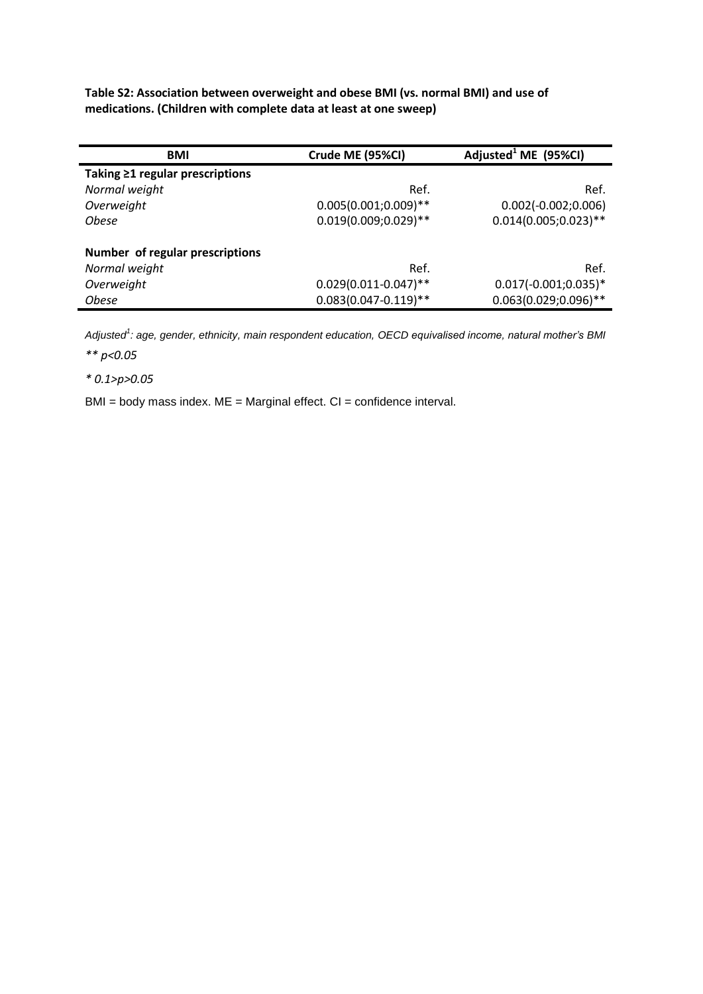**Table S2: Association between overweight and obese BMI (vs. normal BMI) and use of medications. (Children with complete data at least at one sweep)**

| <b>BMI</b>                            | Crude ME (95%CI)          | Adjusted <sup>1</sup> ME (95%CI) |  |
|---------------------------------------|---------------------------|----------------------------------|--|
| Taking $\geq$ 1 regular prescriptions |                           |                                  |  |
| Normal weight                         | Ref.                      | Ref.                             |  |
| Overweight                            | $0.005(0.001;0.009)$ **   | $0.002(-0.002;0.006)$            |  |
| <b>Obese</b>                          | $0.019(0.009; 0.029)$ **  | $0.014(0.005;0.023)$ **          |  |
| Number of regular prescriptions       |                           |                                  |  |
| Normal weight                         | Ref.                      | Ref.                             |  |
| Overweight                            | $0.029(0.011 - 0.047)$ ** | $0.017(-0.001;0.035)*$           |  |
| <b>Obese</b>                          | $0.083(0.047 - 0.119)$ ** | $0.063(0.029;0.096)$ **          |  |

*Adjusted<sup>1</sup> : age, gender, ethnicity, main respondent education, OECD equivalised income, natural mother's BMI*

*\*\* p<0.05* 

*\* 0.1>p>0.05*

BMI = body mass index. ME = Marginal effect. CI = confidence interval.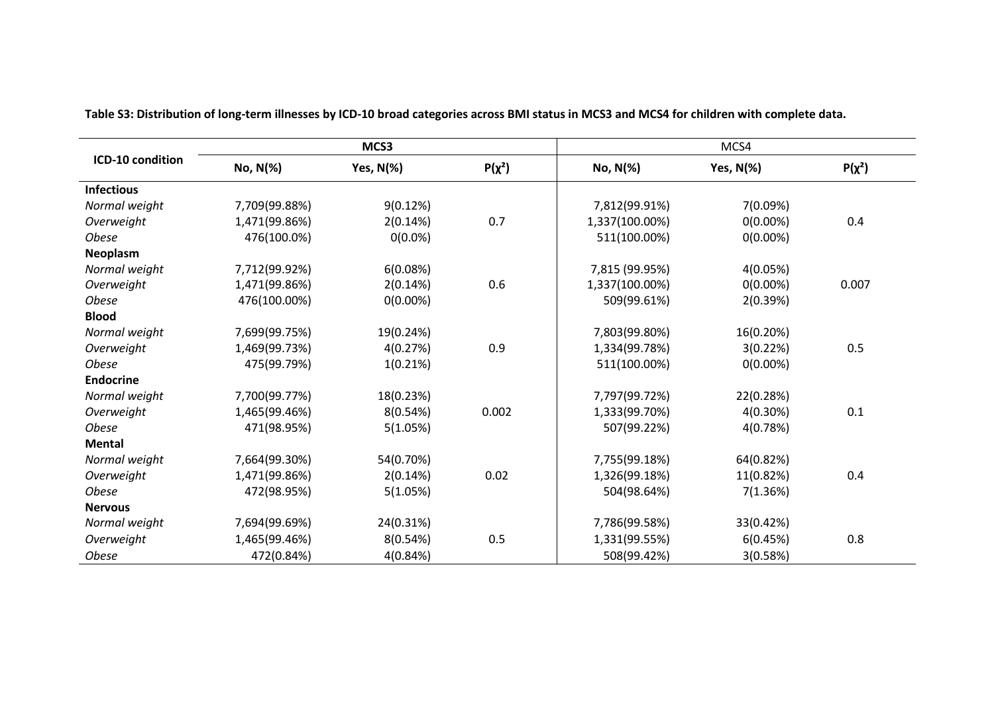| ICD-10 condition  |               | MCS3             |             | MCS4           |                  |             |  |
|-------------------|---------------|------------------|-------------|----------------|------------------|-------------|--|
|                   | No, N(%)      | <b>Yes, N(%)</b> | $P(\chi^2)$ | No, N(%)       | <b>Yes, N(%)</b> | $P(\chi^2)$ |  |
| <b>Infectious</b> |               |                  |             |                |                  |             |  |
| Normal weight     | 7,709(99.88%) | 9(0.12%)         |             | 7,812(99.91%)  | 7(0.09%)         |             |  |
| Overweight        | 1,471(99.86%) | 2(0.14%)         | 0.7         | 1,337(100.00%) | $0(0.00\%)$      | 0.4         |  |
| <b>Obese</b>      | 476(100.0%)   | $0(0.0\%)$       |             | 511(100.00%)   | $0(0.00\%)$      |             |  |
| <b>Neoplasm</b>   |               |                  |             |                |                  |             |  |
| Normal weight     | 7,712(99.92%) | 6(0.08%)         |             | 7,815 (99.95%) | 4(0.05%)         |             |  |
| Overweight        | 1,471(99.86%) | 2(0.14%)         | 0.6         | 1,337(100.00%) | $0(0.00\%)$      | 0.007       |  |
| <b>Obese</b>      | 476(100.00%)  | $0(0.00\%)$      |             | 509(99.61%)    | 2(0.39%)         |             |  |
| <b>Blood</b>      |               |                  |             |                |                  |             |  |
| Normal weight     | 7,699(99.75%) | 19(0.24%)        |             | 7,803(99.80%)  | 16(0.20%)        |             |  |
| Overweight        | 1,469(99.73%) | 4(0.27%)         | 0.9         | 1,334(99.78%)  | 3(0.22%)         | 0.5         |  |
| <b>Obese</b>      | 475(99.79%)   | 1(0.21%)         |             | 511(100.00%)   | $0(0.00\%)$      |             |  |
| <b>Endocrine</b>  |               |                  |             |                |                  |             |  |
| Normal weight     | 7,700(99.77%) | 18(0.23%)        |             | 7,797(99.72%)  | 22(0.28%)        |             |  |
| Overweight        | 1,465(99.46%) | 8(0.54%)         | 0.002       | 1,333(99.70%)  | 4(0.30%)         | 0.1         |  |
| <b>Obese</b>      | 471(98.95%)   | 5(1.05%)         |             | 507(99.22%)    | 4(0.78%)         |             |  |
| Mental            |               |                  |             |                |                  |             |  |
| Normal weight     | 7,664(99.30%) | 54(0.70%)        |             | 7,755(99.18%)  | 64(0.82%)        |             |  |
| Overweight        | 1,471(99.86%) | 2(0.14%)         | 0.02        | 1,326(99.18%)  | 11(0.82%)        | 0.4         |  |
| <b>Obese</b>      | 472(98.95%)   | 5(1.05%)         |             | 504(98.64%)    | 7(1.36%)         |             |  |
| <b>Nervous</b>    |               |                  |             |                |                  |             |  |
| Normal weight     | 7,694(99.69%) | 24(0.31%)        |             | 7,786(99.58%)  | 33(0.42%)        |             |  |
| Overweight        | 1,465(99.46%) | 8(0.54%)         | 0.5         | 1,331(99.55%)  | 6(0.45%)         | 0.8         |  |
| <b>Obese</b>      | 472(0.84%)    | 4(0.84%)         |             | 508(99.42%)    | 3(0.58%)         |             |  |

**Table S3: Distribution of long-term illnesses by ICD-10 broad categories across BMI status in MCS3 and MCS4 for children with complete data.**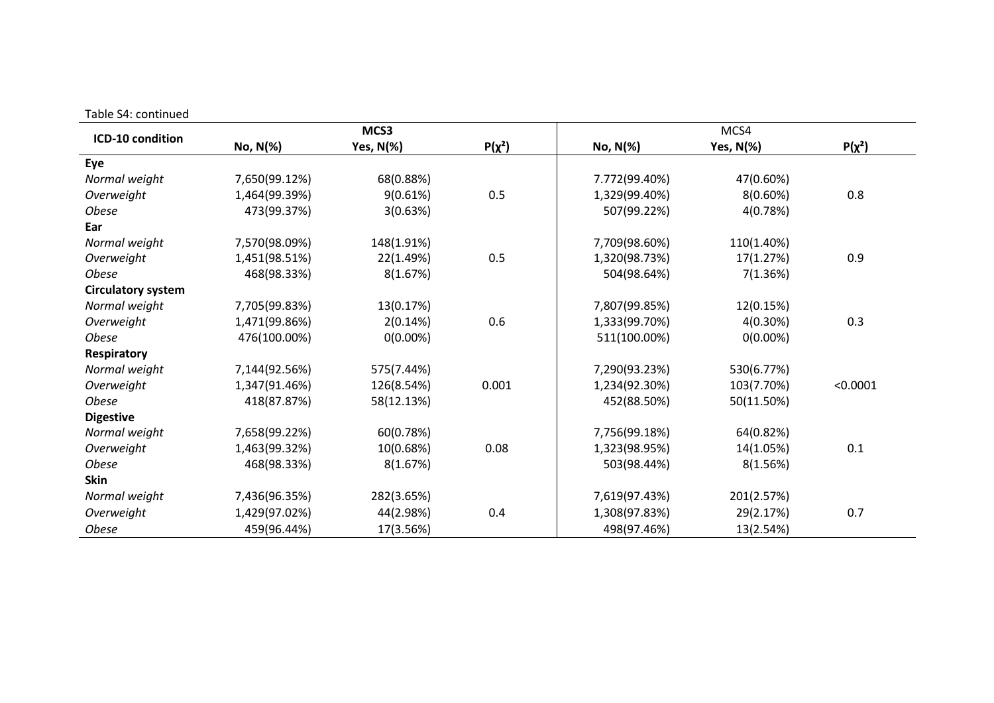| ICD-10 condition          |               | MCS3             |             | MCS4          |                  |             |
|---------------------------|---------------|------------------|-------------|---------------|------------------|-------------|
|                           | No, N(%)      | <b>Yes, N(%)</b> | $P(\chi^2)$ | No, N(%)      | <b>Yes, N(%)</b> | $P(\chi^2)$ |
| Eye                       |               |                  |             |               |                  |             |
| Normal weight             | 7,650(99.12%) | 68(0.88%)        |             | 7.772(99.40%) | 47(0.60%)        |             |
| Overweight                | 1,464(99.39%) | 9(0.61%)         | 0.5         | 1,329(99.40%) | 8(0.60%)         | 0.8         |
| <b>Obese</b>              | 473(99.37%)   | 3(0.63%)         |             | 507(99.22%)   | 4(0.78%)         |             |
| Ear                       |               |                  |             |               |                  |             |
| Normal weight             | 7,570(98.09%) | 148(1.91%)       |             | 7,709(98.60%) | 110(1.40%)       |             |
| Overweight                | 1,451(98.51%) | 22(1.49%)        | 0.5         | 1,320(98.73%) | 17(1.27%)        | 0.9         |
| <b>Obese</b>              | 468(98.33%)   | 8(1.67%)         |             | 504(98.64%)   | 7(1.36%)         |             |
| <b>Circulatory system</b> |               |                  |             |               |                  |             |
| Normal weight             | 7,705(99.83%) | 13(0.17%)        |             | 7,807(99.85%) | 12(0.15%)        |             |
| Overweight                | 1,471(99.86%) | 2(0.14%)         | 0.6         | 1,333(99.70%) | 4(0.30%)         | 0.3         |
| <b>Obese</b>              | 476(100.00%)  | $0(0.00\%)$      |             | 511(100.00%)  | $0(0.00\%)$      |             |
| <b>Respiratory</b>        |               |                  |             |               |                  |             |
| Normal weight             | 7,144(92.56%) | 575(7.44%)       |             | 7,290(93.23%) | 530(6.77%)       |             |
| Overweight                | 1,347(91.46%) | 126(8.54%)       | 0.001       | 1,234(92.30%) | 103(7.70%)       | < 0.0001    |
| <b>Obese</b>              | 418(87.87%)   | 58(12.13%)       |             | 452(88.50%)   | 50(11.50%)       |             |
| <b>Digestive</b>          |               |                  |             |               |                  |             |
| Normal weight             | 7,658(99.22%) | 60(0.78%)        |             | 7,756(99.18%) | 64(0.82%)        |             |
| Overweight                | 1,463(99.32%) | 10(0.68%)        | 0.08        | 1,323(98.95%) | 14(1.05%)        | 0.1         |
| <b>Obese</b>              | 468(98.33%)   | 8(1.67%)         |             | 503(98.44%)   | 8(1.56%)         |             |
| Skin                      |               |                  |             |               |                  |             |
| Normal weight             | 7,436(96.35%) | 282(3.65%)       |             | 7,619(97.43%) | 201(2.57%)       |             |
| Overweight                | 1,429(97.02%) | 44(2.98%)        | 0.4         | 1,308(97.83%) | 29(2.17%)        | 0.7         |
| <b>Obese</b>              | 459(96.44%)   | 17(3.56%)        |             | 498(97.46%)   | 13(2.54%)        |             |

Table S4: continued